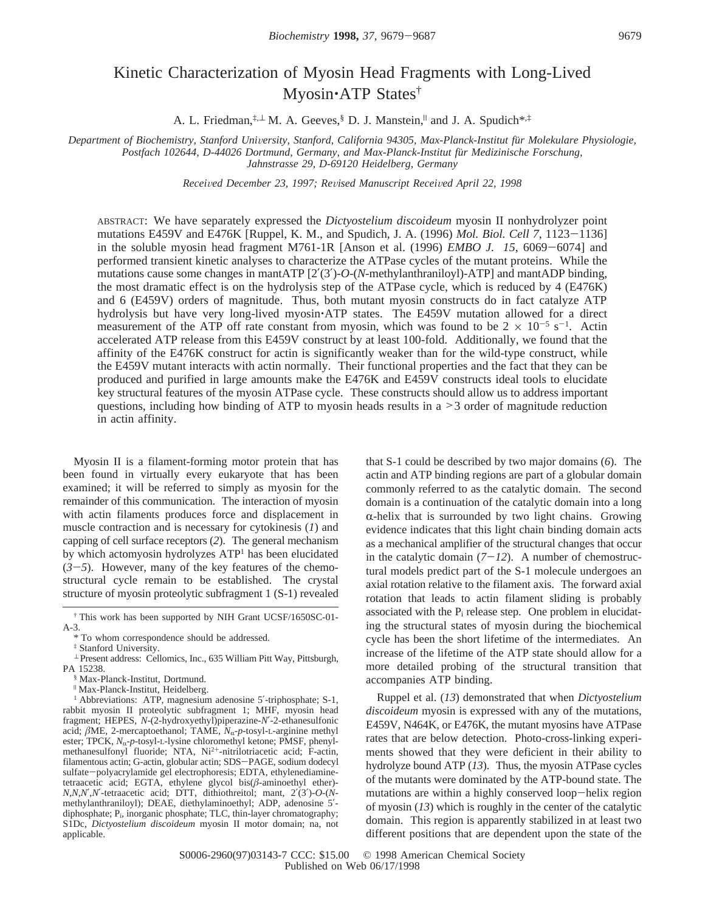# Kinetic Characterization of Myosin Head Fragments with Long-Lived Myosin'ATP States†

A. L. Friedman,<sup>‡,⊥</sup> M. A. Geeves, § D. J. Manstein,<sup>||</sup> and J. A. Spudich<sup>\*,‡</sup>

*Department of Biochemistry, Stanford Uni*V*ersity, Stanford, California 94305, Max-Planck-Institut fu*¨*r Molekulare Physiologie, Postfach 102644, D-44026 Dortmund, Germany, and Max-Planck-Institut fu*¨*r Medizinische Forschung, Jahnstrasse 29, D-69120 Heidelberg, Germany*

*Recei*V*ed December 23, 1997; Re*V*ised Manuscript Recei*V*ed April 22, 1998*

ABSTRACT: We have separately expressed the *Dictyostelium discoideum* myosin II nonhydrolyzer point mutations E459V and E476K [Ruppel, K. M., and Spudich, J. A. (1996) *Mol. Biol. Cell 7*, 1123-1136] in the soluble myosin head fragment M761-1R [Anson et al. (1996) *EMBO J. 15,* <sup>6069</sup>-6074] and performed transient kinetic analyses to characterize the ATPase cycles of the mutant proteins. While the mutations cause some changes in mantATP [2′(3′)-*O*-(*N*-methylanthraniloyl)-ATP] and mantADP binding, the most dramatic effect is on the hydrolysis step of the ATPase cycle, which is reduced by 4 (E476K) and 6 (E459V) orders of magnitude. Thus, both mutant myosin constructs do in fact catalyze ATP hydrolysis but have very long-lived myosin. ATP states. The E459V mutation allowed for a direct measurement of the ATP off rate constant from myosin, which was found to be  $2 \times 10^{-5}$  s<sup>-1</sup>. Actin accelerated ATP release from this E459V construct by at least 100-fold. Additionally, we found that the affinity of the E476K construct for actin is significantly weaker than for the wild-type construct, while the E459V mutant interacts with actin normally. Their functional properties and the fact that they can be produced and purified in large amounts make the E476K and E459V constructs ideal tools to elucidate key structural features of the myosin ATPase cycle. These constructs should allow us to address important questions, including how binding of ATP to myosin heads results in a >3 order of magnitude reduction in actin affinity.

Myosin II is a filament-forming motor protein that has been found in virtually every eukaryote that has been examined; it will be referred to simply as myosin for the remainder of this communication. The interaction of myosin with actin filaments produces force and displacement in muscle contraction and is necessary for cytokinesis (*1*) and capping of cell surface receptors (*2*). The general mechanism by which actomyosin hydrolyzes ATP<sup>1</sup> has been elucidated  $(3-5)$ . However, many of the key features of the chemostructural cycle remain to be established. The crystal structure of myosin proteolytic subfragment 1 (S-1) revealed

‡ Stanford University.

that S-1 could be described by two major domains (*6*). The actin and ATP binding regions are part of a globular domain commonly referred to as the catalytic domain. The second domain is a continuation of the catalytic domain into a long  $\alpha$ -helix that is surrounded by two light chains. Growing evidence indicates that this light chain binding domain acts as a mechanical amplifier of the structural changes that occur in the catalytic domain  $(7-12)$ . A number of chemostructural models predict part of the S-1 molecule undergoes an axial rotation relative to the filament axis. The forward axial rotation that leads to actin filament sliding is probably associated with the  $P_i$  release step. One problem in elucidating the structural states of myosin during the biochemical cycle has been the short lifetime of the intermediates. An increase of the lifetime of the ATP state should allow for a more detailed probing of the structural transition that accompanies ATP binding.

Ruppel et al. (*13*) demonstrated that when *Dictyostelium discoideum* myosin is expressed with any of the mutations, E459V, N464K, or E476K, the mutant myosins have ATPase rates that are below detection. Photo-cross-linking experiments showed that they were deficient in their ability to hydrolyze bound ATP (*13*). Thus, the myosin ATPase cycles of the mutants were dominated by the ATP-bound state. The mutations are within a highly conserved loop-helix region of myosin (*13*) which is roughly in the center of the catalytic domain. This region is apparently stabilized in at least two different positions that are dependent upon the state of the

<sup>†</sup> This work has been supported by NIH Grant UCSF/1650SC-01- A-3.

<sup>\*</sup> To whom correspondence should be addressed.

<sup>⊥</sup> Present address: Cellomics, Inc., 635 William Pitt Way, Pittsburgh, PA 15238.

<sup>§</sup> Max-Planck-Institut, Dortmund.

<sup>|</sup> Max-Planck-Institut, Heidelberg.

<sup>&</sup>lt;sup>1</sup> Abbreviations: ATP, magnesium adenosine 5'-triphosphate; S-1, rabbit myosin II proteolytic subfragment 1; MHF, myosin head fragment; HEPES, *N*-(2-hydroxyethyl)piperazine-*N*′-2-ethanesulfonic acid;  $\beta$ ME, 2-mercaptoethanol; TAME,  $N_{\alpha}$ -p-tosyl-L-arginine methyl ester; TPCK,  $N_{\alpha}$ -p-tosyl-L-lysine chloromethyl ketone; PMSF, phenylmethanesulfonyl fluoride; NTA, Ni<sup>2+</sup>-nitrilotriacetic acid; F-actin, filamentous actin; G-actin, globular actin; SDS-PAGE, sodium dodecyl sulfate-polyacrylamide gel electrophoresis; EDTA, ethylenediamine-tetraacetic acid; EGTA, ethylene glycol bis(*â*-aminoethyl ether)- *N,N,N*′,*N*′-tetraacetic acid; DTT, dithiothreitol; mant, 2′(3′)-*O*-(*N*methylanthraniloyl); DEAE, diethylaminoethyl; ADP, adenosine 5′ diphosphate; P<sub>i</sub>, inorganic phosphate; TLC, thin-layer chromatography; S1Dc, *Dictyostelium discoideum* myosin II motor domain; na, not applicable.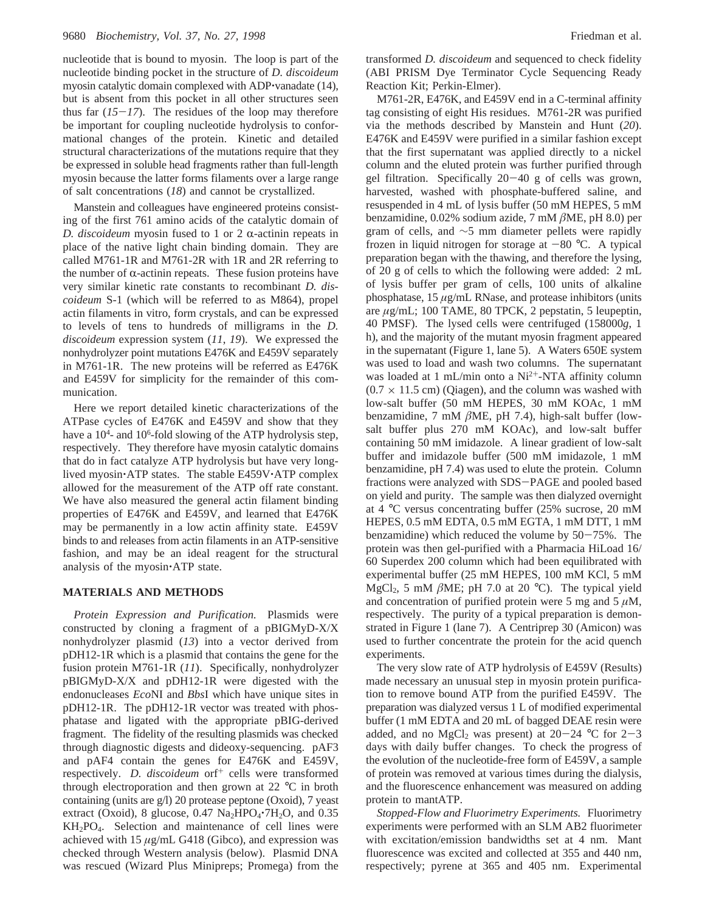nucleotide that is bound to myosin. The loop is part of the nucleotide binding pocket in the structure of *D. discoideum* myosin catalytic domain complexed with ADP vanadate (14), but is absent from this pocket in all other structures seen thus far  $(15-17)$ . The residues of the loop may therefore be important for coupling nucleotide hydrolysis to conformational changes of the protein. Kinetic and detailed structural characterizations of the mutations require that they be expressed in soluble head fragments rather than full-length myosin because the latter forms filaments over a large range of salt concentrations (*18*) and cannot be crystallized.

Manstein and colleagues have engineered proteins consisting of the first 761 amino acids of the catalytic domain of *D. discoideum* myosin fused to 1 or 2  $\alpha$ -actinin repeats in place of the native light chain binding domain. They are called M761-1R and M761-2R with 1R and 2R referring to the number of  $\alpha$ -actinin repeats. These fusion proteins have very similar kinetic rate constants to recombinant *D. discoideum* S-1 (which will be referred to as M864), propel actin filaments in vitro, form crystals, and can be expressed to levels of tens to hundreds of milligrams in the *D. discoideum* expression system (*11*, *19*). We expressed the nonhydrolyzer point mutations E476K and E459V separately in M761-1R. The new proteins will be referred as E476K and E459V for simplicity for the remainder of this communication.

Here we report detailed kinetic characterizations of the ATPase cycles of E476K and E459V and show that they have a 10<sup>4</sup>- and 10<sup>6</sup>-fold slowing of the ATP hydrolysis step, respectively. They therefore have myosin catalytic domains that do in fact catalyze ATP hydrolysis but have very longlived myosin'ATP states. The stable E459V'ATP complex allowed for the measurement of the ATP off rate constant. We have also measured the general actin filament binding properties of E476K and E459V, and learned that E476K may be permanently in a low actin affinity state. E459V binds to and releases from actin filaments in an ATP-sensitive fashion, and may be an ideal reagent for the structural analysis of the myosin'ATP state.

### **MATERIALS AND METHODS**

*Protein Expression and Purification.* Plasmids were constructed by cloning a fragment of a pBIGMyD-X/X nonhydrolyzer plasmid (*13*) into a vector derived from pDH12-1R which is a plasmid that contains the gene for the fusion protein M761-1R (*11*). Specifically, nonhydrolyzer pBIGMyD-X/X and pDH12-1R were digested with the endonucleases *Eco*NI and *Bbs*I which have unique sites in pDH12-1R. The pDH12-1R vector was treated with phosphatase and ligated with the appropriate pBIG-derived fragment. The fidelity of the resulting plasmids was checked through diagnostic digests and dideoxy-sequencing. pAF3 and pAF4 contain the genes for E476K and E459V, respectively. *D. discoideum* orf<sup>+</sup> cells were transformed through electroporation and then grown at 22 °C in broth containing (units are g/l) 20 protease peptone (Oxoid), 7 yeast extract (Oxoid), 8 glucose,  $0.47 \text{ Na}_2\text{HPO}_4 \cdot 7\text{H}_2\text{O}$ , and  $0.35$ KH<sub>2</sub>PO<sub>4</sub>. Selection and maintenance of cell lines were achieved with 15 *µ*g/mL G418 (Gibco), and expression was checked through Western analysis (below). Plasmid DNA was rescued (Wizard Plus Minipreps; Promega) from the

transformed *D. discoideum* and sequenced to check fidelity (ABI PRISM Dye Terminator Cycle Sequencing Ready Reaction Kit; Perkin-Elmer).

M761-2R, E476K, and E459V end in a C-terminal affinity tag consisting of eight His residues. M761-2R was purified via the methods described by Manstein and Hunt (*20*). E476K and E459V were purified in a similar fashion except that the first supernatant was applied directly to a nickel column and the eluted protein was further purified through gel filtration. Specifically 20-40 g of cells was grown, harvested, washed with phosphate-buffered saline, and resuspended in 4 mL of lysis buffer (50 mM HEPES, 5 mM benzamidine, 0.02% sodium azide, 7 mM *â*ME, pH 8.0) per gram of cells, and ∼5 mm diameter pellets were rapidly frozen in liquid nitrogen for storage at  $-80$  °C. A typical preparation began with the thawing, and therefore the lysing, of 20 g of cells to which the following were added: 2 mL of lysis buffer per gram of cells, 100 units of alkaline phosphatase, 15 *µ*g/mL RNase, and protease inhibitors (units are *µ*g/mL; 100 TAME, 80 TPCK, 2 pepstatin, 5 leupeptin, 40 PMSF). The lysed cells were centrifuged (158000*g*, 1 h), and the majority of the mutant myosin fragment appeared in the supernatant (Figure 1, lane 5). A Waters 650E system was used to load and wash two columns. The supernatant was loaded at 1 mL/min onto a Ni<sup>2+</sup>-NTA affinity column  $(0.7 \times 11.5 \text{ cm})$  (Qiagen), and the column was washed with low-salt buffer (50 mM HEPES, 30 mM KOAc, 1 mM benzamidine, 7 mM *â*ME, pH 7.4), high-salt buffer (lowsalt buffer plus 270 mM KOAc), and low-salt buffer containing 50 mM imidazole. A linear gradient of low-salt buffer and imidazole buffer (500 mM imidazole, 1 mM benzamidine, pH 7.4) was used to elute the protein. Column fractions were analyzed with SDS-PAGE and pooled based on yield and purity. The sample was then dialyzed overnight at 4 °C versus concentrating buffer (25% sucrose, 20 mM HEPES, 0.5 mM EDTA, 0.5 mM EGTA, 1 mM DTT, 1 mM benzamidine) which reduced the volume by  $50-75%$ . The protein was then gel-purified with a Pharmacia HiLoad 16/ 60 Superdex 200 column which had been equilibrated with experimental buffer (25 mM HEPES, 100 mM KCl, 5 mM MgCl<sub>2</sub>, 5 mM  $\beta$ ME; pH 7.0 at 20 °C). The typical yield and concentration of purified protein were 5 mg and 5  $\mu$ M, respectively. The purity of a typical preparation is demonstrated in Figure 1 (lane 7). A Centriprep 30 (Amicon) was used to further concentrate the protein for the acid quench experiments.

The very slow rate of ATP hydrolysis of E459V (Results) made necessary an unusual step in myosin protein purification to remove bound ATP from the purified E459V. The preparation was dialyzed versus 1 L of modified experimental buffer (1 mM EDTA and 20 mL of bagged DEAE resin were added, and no MgCl<sub>2</sub> was present) at  $20-24$  °C for  $2-3$ days with daily buffer changes. To check the progress of the evolution of the nucleotide-free form of E459V, a sample of protein was removed at various times during the dialysis, and the fluorescence enhancement was measured on adding protein to mantATP.

*Stopped-Flow and Fluorimetry Experiments.* Fluorimetry experiments were performed with an SLM AB2 fluorimeter with excitation/emission bandwidths set at 4 nm. Mant fluorescence was excited and collected at 355 and 440 nm, respectively; pyrene at 365 and 405 nm. Experimental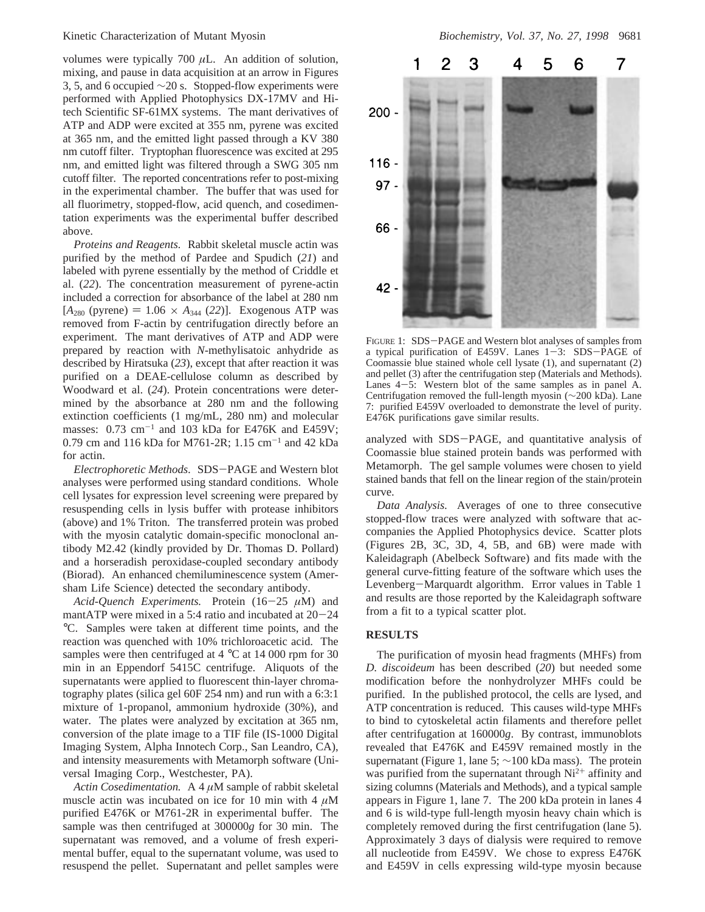volumes were typically 700 *µ*L. An addition of solution, mixing, and pause in data acquisition at an arrow in Figures 3, 5, and 6 occupied  $\sim$ 20 s. Stopped-flow experiments were performed with Applied Photophysics DX-17MV and Hitech Scientific SF-61MX systems. The mant derivatives of ATP and ADP were excited at 355 nm, pyrene was excited at 365 nm, and the emitted light passed through a KV 380 nm cutoff filter. Tryptophan fluorescence was excited at 295 nm, and emitted light was filtered through a SWG 305 nm cutoff filter. The reported concentrations refer to post-mixing in the experimental chamber. The buffer that was used for all fluorimetry, stopped-flow, acid quench, and cosedimentation experiments was the experimental buffer described above.

*Proteins and Reagents.* Rabbit skeletal muscle actin was purified by the method of Pardee and Spudich (*21*) and labeled with pyrene essentially by the method of Criddle et al. (*22*). The concentration measurement of pyrene-actin included a correction for absorbance of the label at 280 nm  $[A_{280} (pyrene) = 1.06 \times A_{344} (22)]$ . Exogenous ATP was removed from F-actin by centrifugation directly before an experiment. The mant derivatives of ATP and ADP were prepared by reaction with *N*-methylisatoic anhydride as described by Hiratsuka (*23*), except that after reaction it was purified on a DEAE-cellulose column as described by Woodward et al. (*24*). Protein concentrations were determined by the absorbance at 280 nm and the following extinction coefficients (1 mg/mL, 280 nm) and molecular masses:  $0.73 \text{ cm}^{-1}$  and  $103 \text{ kDa}$  for E476K and E459V; 0.79 cm and 116 kDa for M761-2R; 1.15 cm<sup>-1</sup> and 42 kDa for actin.

*Electrophoretic Methods*. SDS-PAGE and Western blot analyses were performed using standard conditions. Whole cell lysates for expression level screening were prepared by resuspending cells in lysis buffer with protease inhibitors (above) and 1% Triton. The transferred protein was probed with the myosin catalytic domain-specific monoclonal antibody M2.42 (kindly provided by Dr. Thomas D. Pollard) and a horseradish peroxidase-coupled secondary antibody (Biorad). An enhanced chemiluminescence system (Amersham Life Science) detected the secondary antibody.

*Acid-Quench Experiments.* Protein (16-<sup>25</sup> *<sup>µ</sup>*M) and mantATP were mixed in a 5:4 ratio and incubated at  $20-24$ °C. Samples were taken at different time points, and the reaction was quenched with 10% trichloroacetic acid. The samples were then centrifuged at 4 °C at 14 000 rpm for 30 min in an Eppendorf 5415C centrifuge. Aliquots of the supernatants were applied to fluorescent thin-layer chromatography plates (silica gel 60F 254 nm) and run with a 6:3:1 mixture of 1-propanol, ammonium hydroxide (30%), and water. The plates were analyzed by excitation at 365 nm, conversion of the plate image to a TIF file (IS-1000 Digital Imaging System, Alpha Innotech Corp., San Leandro, CA), and intensity measurements with Metamorph software (Universal Imaging Corp., Westchester, PA).

*Actin Cosedimentation.* A 4 *µ*M sample of rabbit skeletal muscle actin was incubated on ice for 10 min with 4 *µ*M purified E476K or M761-2R in experimental buffer. The sample was then centrifuged at 300000*g* for 30 min. The supernatant was removed, and a volume of fresh experimental buffer, equal to the supernatant volume, was used to resuspend the pellet. Supernatant and pellet samples were



FIGURE 1: SDS-PAGE and Western blot analyses of samples from a typical purification of E459V. Lanes  $1-3$ : SDS-PAGE of Coomassie blue stained whole cell lysate (1), and supernatant (2) and pellet (3) after the centrifugation step (Materials and Methods). Lanes  $4-5$ : Western blot of the same samples as in panel A. Centrifugation removed the full-length myosin (∼200 kDa). Lane 7: purified E459V overloaded to demonstrate the level of purity. E476K purifications gave similar results.

analyzed with SDS-PAGE, and quantitative analysis of Coomassie blue stained protein bands was performed with Metamorph. The gel sample volumes were chosen to yield stained bands that fell on the linear region of the stain/protein curve.

*Data Analysis.* Averages of one to three consecutive stopped-flow traces were analyzed with software that accompanies the Applied Photophysics device. Scatter plots (Figures 2B, 3C, 3D, 4, 5B, and 6B) were made with Kaleidagraph (Abelbeck Software) and fits made with the general curve-fitting feature of the software which uses the Levenberg-Marquardt algorithm. Error values in Table 1 and results are those reported by the Kaleidagraph software from a fit to a typical scatter plot.

## **RESULTS**

The purification of myosin head fragments (MHFs) from *D. discoideum* has been described (*20*) but needed some modification before the nonhydrolyzer MHFs could be purified. In the published protocol, the cells are lysed, and ATP concentration is reduced. This causes wild-type MHFs to bind to cytoskeletal actin filaments and therefore pellet after centrifugation at 160000*g*. By contrast, immunoblots revealed that E476K and E459V remained mostly in the supernatant (Figure 1, lane 5; ∼100 kDa mass). The protein was purified from the supernatant through  $Ni<sup>2+</sup>$  affinity and sizing columns (Materials and Methods), and a typical sample appears in Figure 1, lane 7. The 200 kDa protein in lanes 4 and 6 is wild-type full-length myosin heavy chain which is completely removed during the first centrifugation (lane 5). Approximately 3 days of dialysis were required to remove all nucleotide from E459V. We chose to express E476K and E459V in cells expressing wild-type myosin because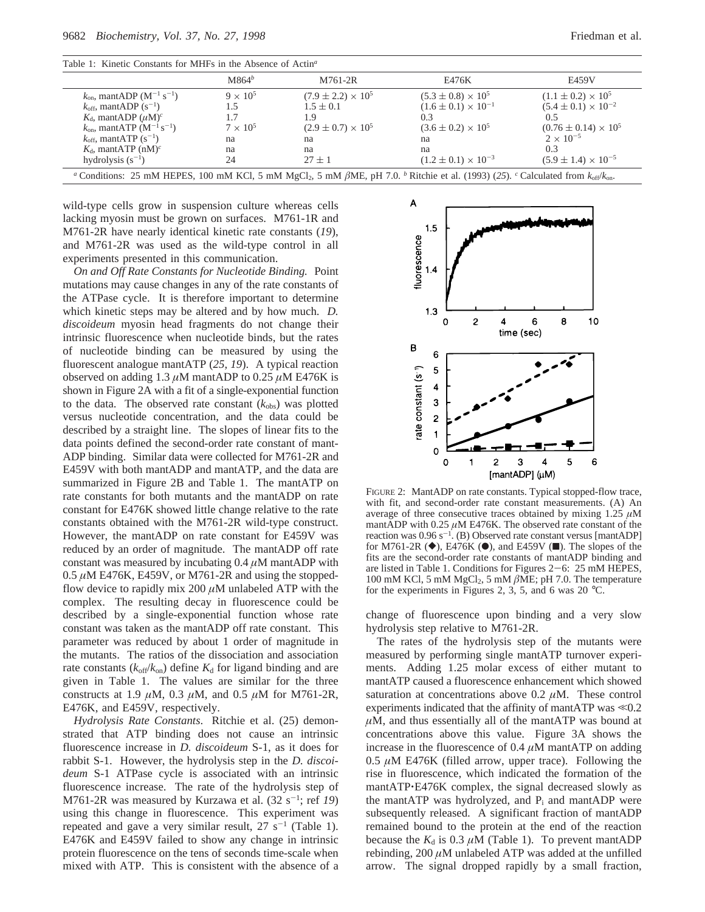| Table 1: Kinetic Constants for MHFs in the Absence of Actin <sup>a</sup> |  |  |  |  |  |  |
|--------------------------------------------------------------------------|--|--|--|--|--|--|
|--------------------------------------------------------------------------|--|--|--|--|--|--|

|                                                                                                                                                                                              | $M864^b$        | M761-2R                     | E476K                          | E459V                          |  |  |
|----------------------------------------------------------------------------------------------------------------------------------------------------------------------------------------------|-----------------|-----------------------------|--------------------------------|--------------------------------|--|--|
| $k_{\text{on}}$ , mantADP (M <sup>-1</sup> s <sup>-1</sup> )                                                                                                                                 | $9 \times 10^5$ | $(7.9 \pm 2.2) \times 10^5$ | $(5.3 \pm 0.8) \times 10^5$    | $(1.1 \pm 0.2) \times 10^5$    |  |  |
| $k_{\text{off}}$ , mantADP (s <sup>-1</sup> )                                                                                                                                                | 1.5             | $1.5 \pm 0.1$               | $(1.6 \pm 0.1) \times 10^{-1}$ | $(5.4 \pm 0.1) \times 10^{-2}$ |  |  |
| $K_{d}$ , mantADP $(\mu M)^{c}$                                                                                                                                                              |                 | 1.9                         | 0.3                            | 0.5                            |  |  |
| $k_{on}$ , mantATP (M <sup>-1</sup> s <sup>-1</sup> )                                                                                                                                        | $7 \times 10^5$ | $(2.9 \pm 0.7) \times 10^5$ | $(3.6 \pm 0.2) \times 10^5$    | $(0.76 \pm 0.14) \times 10^5$  |  |  |
| $k_{\text{off}}$ , mantATP (s <sup>-1</sup> )                                                                                                                                                | na              | na                          | na                             | $2 \times 10^{-5}$             |  |  |
| $K_d$ , mantATP (nM) <sup>c</sup>                                                                                                                                                            | na              | na                          | na                             | 0.3                            |  |  |
| hydrolysis $(s^{-1})$                                                                                                                                                                        | 24              | $27 \pm 1$                  | $(1.2 \pm 0.1) \times 10^{-3}$ | $(5.9 \pm 1.4) \times 10^{-5}$ |  |  |
| <sup>a</sup> Conditions: 25 mM HEPES, 100 mM KCl, 5 mM MgCl <sub>2</sub> , 5 mM $\beta$ ME, pH 7.0. <sup>b</sup> Ritchie et al. (1993) (25). <sup>c</sup> Calculated from $k_{off}/k_{on}$ . |                 |                             |                                |                                |  |  |

wild-type cells grow in suspension culture whereas cells lacking myosin must be grown on surfaces. M761-1R and M761-2R have nearly identical kinetic rate constants (*19*), and M761-2R was used as the wild-type control in all experiments presented in this communication.

*On and Off Rate Constants for Nucleotide Binding.* Point mutations may cause changes in any of the rate constants of the ATPase cycle. It is therefore important to determine which kinetic steps may be altered and by how much. *D. discoideum* myosin head fragments do not change their intrinsic fluorescence when nucleotide binds, but the rates of nucleotide binding can be measured by using the fluorescent analogue mantATP (*25*, *19*). A typical reaction observed on adding 1.3  $\mu$ M mantADP to 0.25  $\mu$ M E476K is shown in Figure 2A with a fit of a single-exponential function to the data. The observed rate constant  $(k_{obs})$  was plotted versus nucleotide concentration, and the data could be described by a straight line. The slopes of linear fits to the data points defined the second-order rate constant of mant-ADP binding. Similar data were collected for M761-2R and E459V with both mantADP and mantATP, and the data are summarized in Figure 2B and Table 1. The mantATP on rate constants for both mutants and the mantADP on rate constant for E476K showed little change relative to the rate constants obtained with the M761-2R wild-type construct. However, the mantADP on rate constant for E459V was reduced by an order of magnitude. The mantADP off rate constant was measured by incubating 0.4 *µ*M mantADP with  $0.5 \mu$ M E476K, E459V, or M761-2R and using the stoppedflow device to rapidly mix  $200 \mu M$  unlabeled ATP with the complex. The resulting decay in fluorescence could be described by a single-exponential function whose rate constant was taken as the mantADP off rate constant. This parameter was reduced by about 1 order of magnitude in the mutants. The ratios of the dissociation and association rate constants  $(k_{off}/k_{on})$  define  $K_d$  for ligand binding and are given in Table 1. The values are similar for the three constructs at 1.9 *µ*M, 0.3 *µ*M, and 0.5 *µ*M for M761-2R, E476K, and E459V, respectively.

*Hydrolysis Rate Constants*. Ritchie et al. (25) demonstrated that ATP binding does not cause an intrinsic fluorescence increase in *D. discoideum* S-1, as it does for rabbit S-1. However, the hydrolysis step in the *D. discoideum* S-1 ATPase cycle is associated with an intrinsic fluorescence increase. The rate of the hydrolysis step of M761-2R was measured by Kurzawa et al.  $(32 \text{ s}^{-1})$ ; ref 19) using this change in fluorescence. This experiment was repeated and gave a very similar result,  $27 \text{ s}^{-1}$  (Table 1). E476K and E459V failed to show any change in intrinsic protein fluorescence on the tens of seconds time-scale when mixed with ATP. This is consistent with the absence of a



FIGURE 2: MantADP on rate constants. Typical stopped-flow trace, with fit, and second-order rate constant measurements. (A) An average of three consecutive traces obtained by mixing 1.25 *µ*M mantADP with 0.25 *µ*M E476K. The observed rate constant of the reaction was  $0.96 \text{ s}^{-1}$ . (B) Observed rate constant versus [mantADP] for M761-2R  $(\blacklozenge)$ , E476K  $(\blacklozenge)$ , and E459V ( $\blacksquare$ ). The slopes of the fits are the second-order rate constants of mantADP binding and are listed in Table 1. Conditions for Figures 2-6: 25 mM HEPES, 100 mM KCl, 5 mM  $MgCl<sub>2</sub>$ , 5 mM  $\beta$ ME; pH 7.0. The temperature for the experiments in Figures 2, 3, 5, and 6 was 20 °C.

change of fluorescence upon binding and a very slow hydrolysis step relative to M761-2R.

The rates of the hydrolysis step of the mutants were measured by performing single mantATP turnover experiments. Adding 1.25 molar excess of either mutant to mantATP caused a fluorescence enhancement which showed saturation at concentrations above 0.2 *µ*M. These control experiments indicated that the affinity of mantATP was  $\ll 0.2$  $\mu$ M, and thus essentially all of the mantATP was bound at concentrations above this value. Figure 3A shows the increase in the fluorescence of 0.4 *µ*M mantATP on adding  $0.5 \mu$ M E476K (filled arrow, upper trace). Following the rise in fluorescence, which indicated the formation of the mantATP $E476K$  complex, the signal decreased slowly as the mantATP was hydrolyzed, and  $P_i$  and mantADP were subsequently released. A significant fraction of mantADP remained bound to the protein at the end of the reaction because the  $K_d$  is 0.3  $\mu$ M (Table 1). To prevent mantADP rebinding,  $200 \mu M$  unlabeled ATP was added at the unfilled arrow. The signal dropped rapidly by a small fraction,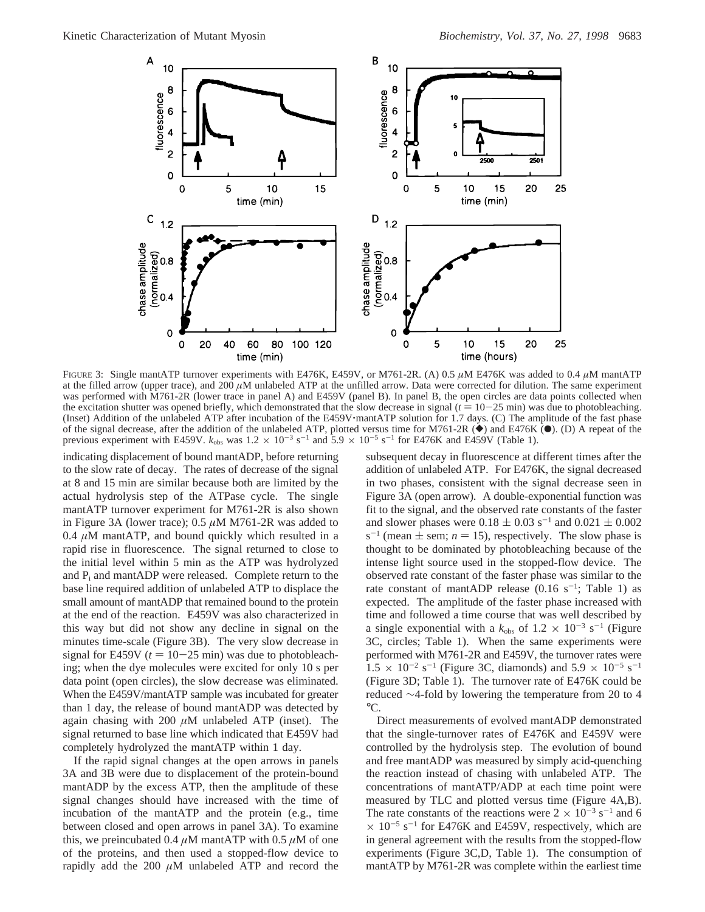

FIGURE 3: Single mantATP turnover experiments with E476K, E459V, or M761-2R. (A) 0.5  $\mu$ M E476K was added to 0.4  $\mu$ M mantATP at the filled arrow (upper trace), and 200 *µ*M unlabeled ATP at the unfilled arrow. Data were corrected for dilution. The same experiment was performed with M761-2R (lower trace in panel A) and E459V (panel B). In panel B, the open circles are data points collected when the excitation shutter was opened briefly, which demonstrated that the slow decrease in signal  $(t = 10-25 \text{ min})$  was due to photobleaching. (Inset) Addition of the unlabeled ATP after incubation of the E459V'mantATP solution for 1.7 days. (C) The amplitude of the fast phase of the signal decrease, after the addition of the unlabeled ATP, plotted versus time for M761-2R  $(\bullet)$  and E476K  $(\bullet)$ . (D) A repeat of the previous experiment with E459V.  $k_{\text{obs}}$  was  $1.2 \times 10^{-3} \text{ s}^{-1}$  and  $5.9 \times 10^{-5} \text{ s}^{-1}$  for E476K and E459V (Table 1).

indicating displacement of bound mantADP, before returning to the slow rate of decay. The rates of decrease of the signal at 8 and 15 min are similar because both are limited by the actual hydrolysis step of the ATPase cycle. The single mantATP turnover experiment for M761-2R is also shown in Figure 3A (lower trace); 0.5 *µ*M M761-2R was added to 0.4  $\mu$ M mantATP, and bound quickly which resulted in a rapid rise in fluorescence. The signal returned to close to the initial level within 5 min as the ATP was hydrolyzed and Pi and mantADP were released. Complete return to the base line required addition of unlabeled ATP to displace the small amount of mantADP that remained bound to the protein at the end of the reaction. E459V was also characterized in this way but did not show any decline in signal on the minutes time-scale (Figure 3B). The very slow decrease in signal for E459V  $(t = 10-25 \text{ min})$  was due to photobleaching; when the dye molecules were excited for only 10 s per data point (open circles), the slow decrease was eliminated. When the E459V/mantATP sample was incubated for greater than 1 day, the release of bound mantADP was detected by again chasing with 200 *µ*M unlabeled ATP (inset). The signal returned to base line which indicated that E459V had completely hydrolyzed the mantATP within 1 day.

If the rapid signal changes at the open arrows in panels 3A and 3B were due to displacement of the protein-bound mantADP by the excess ATP, then the amplitude of these signal changes should have increased with the time of incubation of the mantATP and the protein (e.g., time between closed and open arrows in panel 3A). To examine this, we preincubated 0.4  $\mu$ M mantATP with 0.5  $\mu$ M of one of the proteins, and then used a stopped-flow device to rapidly add the 200 *µ*M unlabeled ATP and record the

subsequent decay in fluorescence at different times after the addition of unlabeled ATP. For E476K, the signal decreased in two phases, consistent with the signal decrease seen in Figure 3A (open arrow). A double-exponential function was fit to the signal, and the observed rate constants of the faster and slower phases were  $0.18 \pm 0.03$  s<sup>-1</sup> and  $0.021 \pm 0.002$  $s^{-1}$  (mean  $\pm$  sem; *n* = 15), respectively. The slow phase is thought to be dominated by photobleaching because of the intense light source used in the stopped-flow device. The observed rate constant of the faster phase was similar to the rate constant of mantADP release  $(0.16 \text{ s}^{-1})$ ; Table 1) as expected. The amplitude of the faster phase increased with time and followed a time course that was well described by a single exponential with a  $k_{obs}$  of  $1.2 \times 10^{-3}$  s<sup>-1</sup> (Figure 3C, circles; Table 1). When the same experiments were performed with M761-2R and E459V, the turnover rates were  $1.5 \times 10^{-2}$  s<sup>-1</sup> (Figure 3C, diamonds) and  $5.9 \times 10^{-5}$  s<sup>-1</sup> (Figure 3D; Table 1). The turnover rate of E476K could be reduced ∼4-fold by lowering the temperature from 20 to 4  $^{\circ}C$ .

Direct measurements of evolved mantADP demonstrated that the single-turnover rates of E476K and E459V were controlled by the hydrolysis step. The evolution of bound and free mantADP was measured by simply acid-quenching the reaction instead of chasing with unlabeled ATP. The concentrations of mantATP/ADP at each time point were measured by TLC and plotted versus time (Figure 4A,B). The rate constants of the reactions were  $2 \times 10^{-3}$  s<sup>-1</sup> and 6  $\times$  10<sup>-5</sup> s<sup>-1</sup> for E476K and E459V, respectively, which are in general agreement with the results from the stopped-flow experiments (Figure 3C,D, Table 1). The consumption of mantATP by M761-2R was complete within the earliest time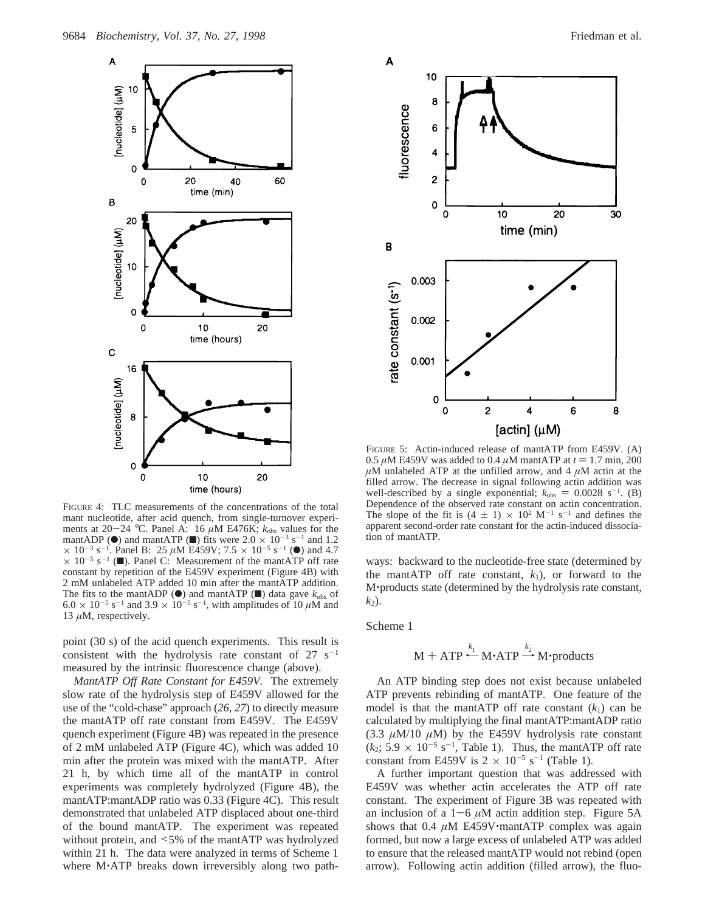

FIGURE 4: TLC measurements of the concentrations of the total mant nucleotide, after acid quench, from single-turnover experiments at  $20-24$  °C. Panel A: 16  $\mu$ M E476K;  $k_{obs}$  values for the mantADP ( $\bullet$ ) and mantATP ( $\bullet$ ) fits were  $2.0 \times 10^{-3}$  s<sup>-1</sup> and 1.2  $\times$  10<sup>-3</sup> s<sup>-1</sup>. Panel B: 25  $\mu$ M E459V; 7.5  $\times$  10<sup>-5</sup> s<sup>-1</sup> (<sup>●</sup>) and 4.7  $\times$  10<sup>-5</sup> s<sup>-1</sup> (■). Panel C: Measurement of the mantATP off rate constant by repetition of the E459V experiment (Figure 4B) with 2 mM unlabeled ATP added 10 min after the mantATP addition. The fits to the mantADP ( $\bullet$ ) and mantATP ( $\blacksquare$ ) data gave  $k_{\text{obs}}$  of  $6.0 \times 10^{-5}$  s<sup>-1</sup> and 3.9  $\times 10^{-5}$  s<sup>-1</sup>, with amplitudes of 10  $\mu$ M and 13  $\mu$ M, respectively.

point (30 s) of the acid quench experiments. This result is consistent with the hydrolysis rate constant of  $27 \text{ s}^{-1}$ measured by the intrinsic fluorescence change (above).

*MantATP Off Rate Constant for E459V.* The extremely slow rate of the hydrolysis step of E459V allowed for the use of the "cold-chase" approach (*26*, *27*) to directly measure the mantATP off rate constant from E459V. The E459V quench experiment (Figure 4B) was repeated in the presence of 2 mM unlabeled ATP (Figure 4C), which was added 10 min after the protein was mixed with the mantATP. After 21 h, by which time all of the mantATP in control experiments was completely hydrolyzed (Figure 4B), the mantATP:mantADP ratio was 0.33 (Figure 4C). This result demonstrated that unlabeled ATP displaced about one-third of the bound mantATP. The experiment was repeated without protein, and <5% of the mantATP was hydrolyzed within 21 h. The data were analyzed in terms of Scheme 1 where M'ATP breaks down irreversibly along two path-



FIGURE 5: Actin-induced release of mantATP from E459V. (A) 0.5  $\mu$ M E459V was added to 0.4  $\mu$ M mantATP at  $t = 1.7$  min, 200  $\mu$ M unlabeled ATP at the unfilled arrow, and 4  $\mu$ M actin at the filled arrow. The decrease in signal following actin addition was well-described by a single exponential;  $k_{obs} = 0.0028 \text{ s}^{-1}$ . (B) Dependence of the observed rate constant on actin concentration. The slope of the fit is  $(4 \pm 1) \times 10^2$  M<sup>-1</sup> s<sup>-1</sup> and defines the apparent second-order rate constant for the actin-induced dissociation of mantATP.

ways: backward to the nucleotide-free state (determined by the mantATP off rate constant,  $k_1$ ), or forward to the <sup>M</sup>'products state (determined by the hydrolysis rate constant,  $k_2$ ).

Scheme 1

$$
M + ATP \stackrel{k_1}{\leftarrow} M \cdot ATP \stackrel{k_2}{\rightarrow} M \cdot products
$$

 $M + ATP \rightarrow M\cdot ATP \rightarrow M\cdot products$ <br>An ATP binding step does not exist because unlabeled ATP prevents rebinding of mantATP. One feature of the model is that the mantATP off rate constant  $(k_1)$  can be calculated by multiplying the final mantATP:mantADP ratio (3.3  $\mu$ M/10  $\mu$ M) by the E459V hydrolysis rate constant  $(k_2; 5.9 \times 10^{-5} \text{ s}^{-1}$ , Table 1). Thus, the mantATP off rate constant from E459V is  $2 \times 10^{-5}$  s<sup>-1</sup> (Table 1).

A further important question that was addressed with E459V was whether actin accelerates the ATP off rate constant. The experiment of Figure 3B was repeated with an inclusion of a  $1-6 \mu M$  actin addition step. Figure 5A shows that  $0.4 \mu M$  E459V $\cdot$ mantATP complex was again formed, but now a large excess of unlabeled ATP was added to ensure that the released mantATP would not rebind (open arrow). Following actin addition (filled arrow), the fluo-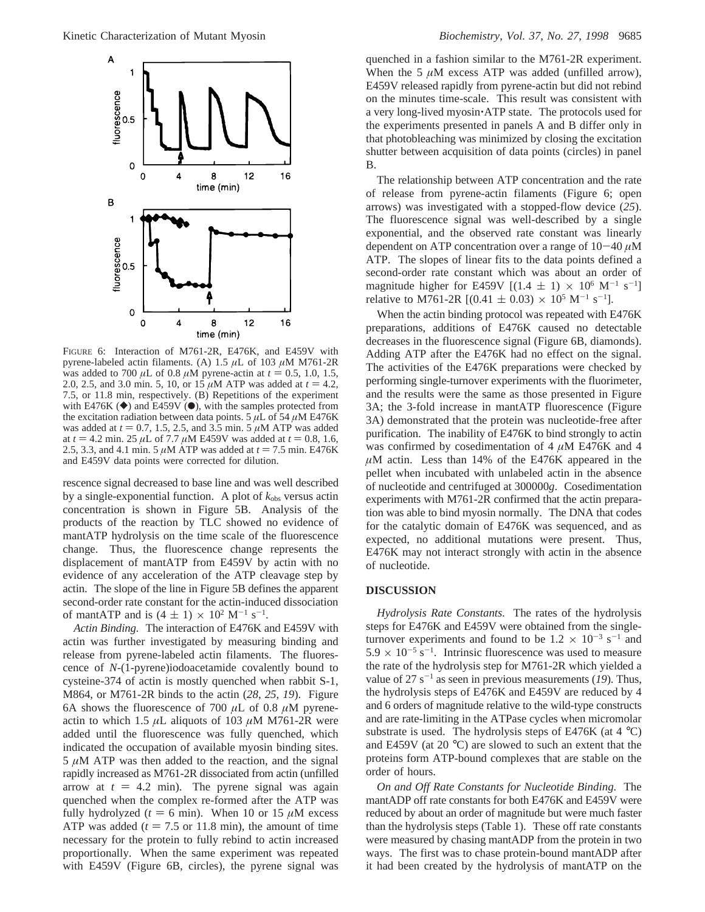

FIGURE 6: Interaction of M761-2R, E476K, and E459V with pyrene-labeled actin filaments. (A) 1.5 *µ*L of 103 *µ*M M761-2R was added to 700  $\mu$ L of 0.8  $\mu$ M pyrene-actin at  $t = 0.5, 1.0, 1.5,$ 2.0, 2.5, and 3.0 min. 5, 10, or 15  $\mu$ M ATP was added at  $t = 4.2$ , 7.5, or 11.8 min, respectively. (B) Repetitions of the experiment with E476K ( $\blacklozenge$ ) and E459V ( $\blacklozenge$ ), with the samples protected from the excitation radiation between data points. 5  $\mu$ L of 54  $\mu$ M E476K was added at  $t = 0.7$ , 1.5, 2.5, and 3.5 min. 5  $\mu$ M ATP was added at  $t = 4.2$  min. 25  $\mu$ L of 7.7  $\mu$ M E459V was added at  $t = 0.8, 1.6$ , 2.5, 3.3, and 4.1 min. 5  $\mu$ M ATP was added at  $t = 7.5$  min. E476K and E459V data points were corrected for dilution.

rescence signal decreased to base line and was well described by a single-exponential function. A plot of  $k_{obs}$  versus actin concentration is shown in Figure 5B. Analysis of the products of the reaction by TLC showed no evidence of mantATP hydrolysis on the time scale of the fluorescence change. Thus, the fluorescence change represents the displacement of mantATP from E459V by actin with no evidence of any acceleration of the ATP cleavage step by actin. The slope of the line in Figure 5B defines the apparent second-order rate constant for the actin-induced dissociation of mantATP and is  $(4 \pm 1) \times 10^2$  M<sup>-1</sup> s<sup>-1</sup>.<br>Actin Binding. The interaction of E476K a

*Actin Binding.* The interaction of E476K and E459V with actin was further investigated by measuring binding and release from pyrene-labeled actin filaments. The fluorescence of *N*-(1-pyrene)iodoacetamide covalently bound to cysteine-374 of actin is mostly quenched when rabbit S-1, M864, or M761-2R binds to the actin (*28*, *25*, *19*). Figure 6A shows the fluorescence of 700  $\mu$ L of 0.8  $\mu$ M pyreneactin to which 1.5  $\mu$ L aliquots of 103  $\mu$ M M761-2R were added until the fluorescence was fully quenched, which indicated the occupation of available myosin binding sites.  $5 \mu M$  ATP was then added to the reaction, and the signal rapidly increased as M761-2R dissociated from actin (unfilled arrow at  $t = 4.2$  min). The pyrene signal was again quenched when the complex re-formed after the ATP was fully hydrolyzed ( $t = 6$  min). When 10 or 15  $\mu$ M excess ATP was added  $(t = 7.5 \text{ or } 11.8 \text{ min})$ , the amount of time necessary for the protein to fully rebind to actin increased proportionally. When the same experiment was repeated with E459V (Figure 6B, circles), the pyrene signal was

quenched in a fashion similar to the M761-2R experiment. When the 5  $\mu$ M excess ATP was added (unfilled arrow), E459V released rapidly from pyrene-actin but did not rebind on the minutes time-scale. This result was consistent with a very long-lived myosin'ATP state. The protocols used for the experiments presented in panels A and B differ only in that photobleaching was minimized by closing the excitation shutter between acquisition of data points (circles) in panel B.

The relationship between ATP concentration and the rate of release from pyrene-actin filaments (Figure 6; open arrows) was investigated with a stopped-flow device (*25*). The fluorescence signal was well-described by a single exponential, and the observed rate constant was linearly dependent on ATP concentration over a range of 10-<sup>40</sup> *<sup>µ</sup>*<sup>M</sup> ATP. The slopes of linear fits to the data points defined a second-order rate constant which was about an order of magnitude higher for E459V  $[(1.4 \pm 1) \times 10^6 \text{ M}^{-1} \text{ s}^{-1}]$ relative to M761-2R  $[(0.41 \pm 0.03) \times 10^5 \text{ M}^{-1} \text{ s}^{-1}]$ .<br>When the estin binding protocol was repeated with E

When the actin binding protocol was repeated with E476K preparations, additions of E476K caused no detectable decreases in the fluorescence signal (Figure 6B, diamonds). Adding ATP after the E476K had no effect on the signal. The activities of the E476K preparations were checked by performing single-turnover experiments with the fluorimeter, and the results were the same as those presented in Figure 3A; the 3-fold increase in mantATP fluorescence (Figure 3A) demonstrated that the protein was nucleotide-free after purification. The inability of E476K to bind strongly to actin was confirmed by cosedimentation of 4 *µ*M E476K and 4 *µ*M actin. Less than 14% of the E476K appeared in the pellet when incubated with unlabeled actin in the absence of nucleotide and centrifuged at 300000*g*. Cosedimentation experiments with M761-2R confirmed that the actin preparation was able to bind myosin normally. The DNA that codes for the catalytic domain of E476K was sequenced, and as expected, no additional mutations were present. Thus, E476K may not interact strongly with actin in the absence of nucleotide.

#### **DISCUSSION**

*Hydrolysis Rate Constants.* The rates of the hydrolysis steps for E476K and E459V were obtained from the singleturnover experiments and found to be  $1.2 \times 10^{-3}$  s<sup>-1</sup> and  $5.9 \times 10^{-5}$  s<sup>-1</sup>. Intrinsic fluorescence was used to measure the rate of the hydrolysis step for M761-2R which yielded a value of  $27 s^{-1}$  as seen in previous measurements (19). Thus, the hydrolysis steps of E476K and E459V are reduced by 4 and 6 orders of magnitude relative to the wild-type constructs and are rate-limiting in the ATPase cycles when micromolar substrate is used. The hydrolysis steps of E476K (at  $4^{\circ}$ C) and E459V (at 20 °C) are slowed to such an extent that the proteins form ATP-bound complexes that are stable on the order of hours.

*On and Off Rate Constants for Nucleotide Binding.* The mantADP off rate constants for both E476K and E459V were reduced by about an order of magnitude but were much faster than the hydrolysis steps (Table 1). These off rate constants were measured by chasing mantADP from the protein in two ways. The first was to chase protein-bound mantADP after it had been created by the hydrolysis of mantATP on the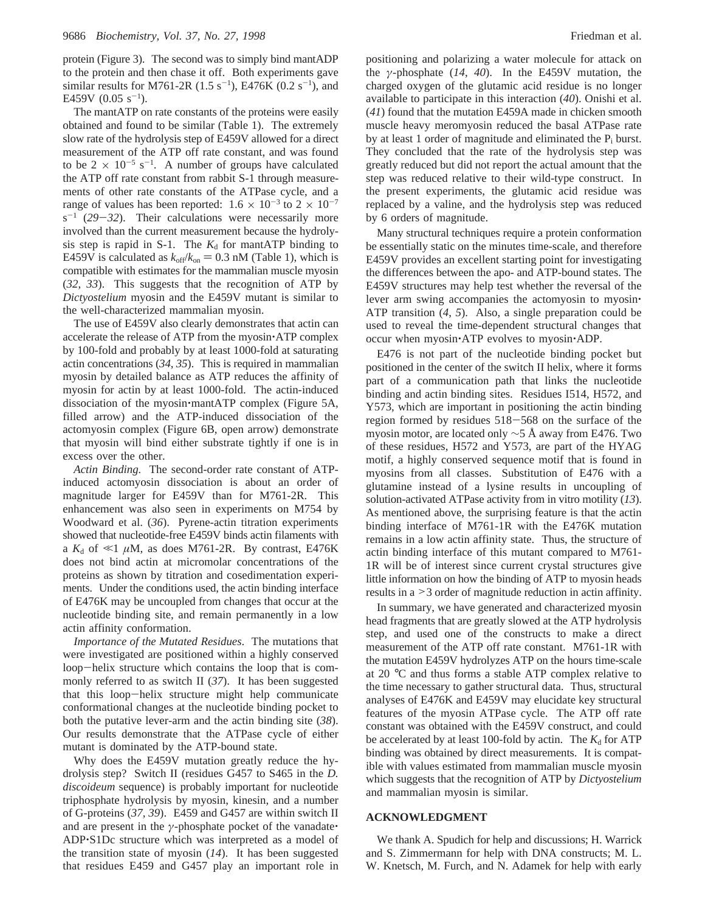protein (Figure 3). The second was to simply bind mantADP to the protein and then chase it off. Both experiments gave similar results for M761-2R  $(1.5 \text{ s}^{-1})$ , E476K  $(0.2 \text{ s}^{-1})$ , and E459V  $(0.05 \text{ s}^{-1})$ .

The mantATP on rate constants of the proteins were easily obtained and found to be similar (Table 1). The extremely slow rate of the hydrolysis step of E459V allowed for a direct measurement of the ATP off rate constant, and was found to be  $2 \times 10^{-5}$  s<sup>-1</sup>. A number of groups have calculated the ATP off rate constant from rabbit S-1 through measurements of other rate constants of the ATPase cycle, and a range of values has been reported:  $1.6 \times 10^{-3}$  to  $2 \times 10^{-7}$  $s^{-1}$  (29-*32*). Their calculations were necessarily more involved than the current measurement because the hydrolysis step is rapid in S-1. The  $K_d$  for mantATP binding to E459V is calculated as  $k_{off}/k_{on} = 0.3$  nM (Table 1), which is compatible with estimates for the mammalian muscle myosin (*32*, *33*). This suggests that the recognition of ATP by *Dictyostelium* myosin and the E459V mutant is similar to the well-characterized mammalian myosin.

The use of E459V also clearly demonstrates that actin can accelerate the release of ATP from the myosin'ATP complex by 100-fold and probably by at least 1000-fold at saturating actin concentrations (*34*, *35*). This is required in mammalian myosin by detailed balance as ATP reduces the affinity of myosin for actin by at least 1000-fold. The actin-induced dissociation of the myosin'mantATP complex (Figure 5A, filled arrow) and the ATP-induced dissociation of the actomyosin complex (Figure 6B, open arrow) demonstrate that myosin will bind either substrate tightly if one is in excess over the other.

*Actin Binding.* The second-order rate constant of ATPinduced actomyosin dissociation is about an order of magnitude larger for E459V than for M761-2R. This enhancement was also seen in experiments on M754 by Woodward et al. (*36*). Pyrene-actin titration experiments showed that nucleotide-free E459V binds actin filaments with a  $K_d$  of  $\ll$ 1  $\mu$ M, as does M761-2R. By contrast, E476K does not bind actin at micromolar concentrations of the proteins as shown by titration and cosedimentation experiments. Under the conditions used, the actin binding interface of E476K may be uncoupled from changes that occur at the nucleotide binding site, and remain permanently in a low actin affinity conformation.

*Importance of the Mutated Residues*. The mutations that were investigated are positioned within a highly conserved loop-helix structure which contains the loop that is commonly referred to as switch II (*37*). It has been suggested that this loop-helix structure might help communicate conformational changes at the nucleotide binding pocket to both the putative lever-arm and the actin binding site (*38*). Our results demonstrate that the ATPase cycle of either mutant is dominated by the ATP-bound state.

Why does the E459V mutation greatly reduce the hydrolysis step? Switch II (residues G457 to S465 in the *D. discoideum* sequence) is probably important for nucleotide triphosphate hydrolysis by myosin, kinesin, and a number of G-proteins (*37*, *39*). E459 and G457 are within switch II and are present in the *<sup>γ</sup>*-phosphate pocket of the vanadate' ADP'S1Dc structure which was interpreted as a model of the transition state of myosin (*14*). It has been suggested that residues E459 and G457 play an important role in

positioning and polarizing a water molecule for attack on the *γ*-phosphate (*14*, *40*). In the E459V mutation, the charged oxygen of the glutamic acid residue is no longer available to participate in this interaction (*40*). Onishi et al. (*41*) found that the mutation E459A made in chicken smooth muscle heavy meromyosin reduced the basal ATPase rate by at least 1 order of magnitude and eliminated the  $P_i$  burst. They concluded that the rate of the hydrolysis step was greatly reduced but did not report the actual amount that the step was reduced relative to their wild-type construct. In the present experiments, the glutamic acid residue was replaced by a valine, and the hydrolysis step was reduced by 6 orders of magnitude.

Many structural techniques require a protein conformation be essentially static on the minutes time-scale, and therefore E459V provides an excellent starting point for investigating the differences between the apo- and ATP-bound states. The E459V structures may help test whether the reversal of the lever arm swing accompanies the actomyosin to myosin' ATP transition (*4*, *5*). Also, a single preparation could be used to reveal the time-dependent structural changes that occur when myosin'ATP evolves to myosin'ADP.

E476 is not part of the nucleotide binding pocket but positioned in the center of the switch II helix, where it forms part of a communication path that links the nucleotide binding and actin binding sites. Residues I514, H572, and Y573, which are important in positioning the actin binding region formed by residues 518-568 on the surface of the myosin motor, are located only ∼5 Å away from E476. Two of these residues, H572 and Y573, are part of the HYAG motif, a highly conserved sequence motif that is found in myosins from all classes. Substitution of E476 with a glutamine instead of a lysine results in uncoupling of solution-activated ATPase activity from in vitro motility (*13*). As mentioned above, the surprising feature is that the actin binding interface of M761-1R with the E476K mutation remains in a low actin affinity state. Thus, the structure of actin binding interface of this mutant compared to M761- 1R will be of interest since current crystal structures give little information on how the binding of ATP to myosin heads results in a >3 order of magnitude reduction in actin affinity.

In summary, we have generated and characterized myosin head fragments that are greatly slowed at the ATP hydrolysis step, and used one of the constructs to make a direct measurement of the ATP off rate constant. M761-1R with the mutation E459V hydrolyzes ATP on the hours time-scale at 20 °C and thus forms a stable ATP complex relative to the time necessary to gather structural data. Thus, structural analyses of E476K and E459V may elucidate key structural features of the myosin ATPase cycle. The ATP off rate constant was obtained with the E459V construct, and could be accelerated by at least 100-fold by actin. The  $K_d$  for ATP binding was obtained by direct measurements. It is compatible with values estimated from mammalian muscle myosin which suggests that the recognition of ATP by *Dictyostelium* and mammalian myosin is similar.

## **ACKNOWLEDGMENT**

We thank A. Spudich for help and discussions; H. Warrick and S. Zimmermann for help with DNA constructs; M. L. W. Knetsch, M. Furch, and N. Adamek for help with early